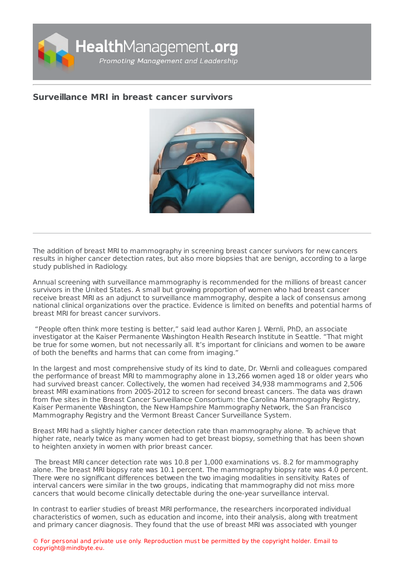

## **[Surveillance](https://healthmanagement.org/s/surveillance-mri-in-breast-cancer-survivors) MRI in breast cancer survivors**



The addition of breast MRI to mammography in screening breast cancer survivors for new cancers results in higher cancer detection rates, but also more biopsies that are benign, according to a large study published in Radiology.

Annual screening with surveillance mammography is recommended for the millions of breast cancer survivors in the United States. A small but growing proportion of women who had breast cancer receive breast MRI as an adjunct to surveillance mammography, despite a lack of consensus among national clinical organizations over the practice. Evidence is limited on benefits and potential harms of breast MRI for breast cancer survivors.

"People often think more testing is better," said lead author Karen J. Wernli, PhD, an associate investigator at the Kaiser Permanente Washington Health Research Institute in Seattle. "That might be true for some women, but not necessarily all. It's important for clinicians and women to be aware of both the benefits and harms that can come from imaging."

In the largest and most comprehensive study of its kind to date, Dr. Wernli and colleagues compared the performance of breast MRI to mammography alone in 13,266 women aged 18 or older years who had survived breast cancer. Collectively, the women had received 34,938 mammograms and 2,506 breast MRI examinations from 2005-2012 to screen for second breast cancers. The data was drawn from five sites in the Breast Cancer Surveillance Consortium: the Carolina Mammography Registry, Kaiser Permanente Washington, the New Hampshire Mammography Network, the San Francisco Mammography Registry and the Vermont Breast Cancer Surveillance System.

Breast MRI had a slightly higher cancer detection rate than mammography alone. To achieve that higher rate, nearly twice as many women had to get breast biopsy, something that has been shown to heighten anxiety in women with prior breast cancer.

The breast MRI cancer detection rate was 10.8 per 1,000 examinations vs. 8.2 for mammography alone. The breast MRI biopsy rate was 10.1 percent. The mammography biopsy rate was 4.0 percent. There were no significant differences between the two imaging modalities in sensitivity. Rates of interval cancers were similar in the two groups, indicating that mammography did not miss more cancers that would become clinically detectable during the one-year surveillance interval.

In contrast to earlier studies of breast MRI performance, the researchers incorporated individual characteristics of women, such as education and income, into their analysis, along with treatment and primary cancer diagnosis. They found that the use of breast MRI was associated with younger

© For personal and private use only. Reproduction must be permitted by the copyright holder. Email to copyright@mindbyte.eu.